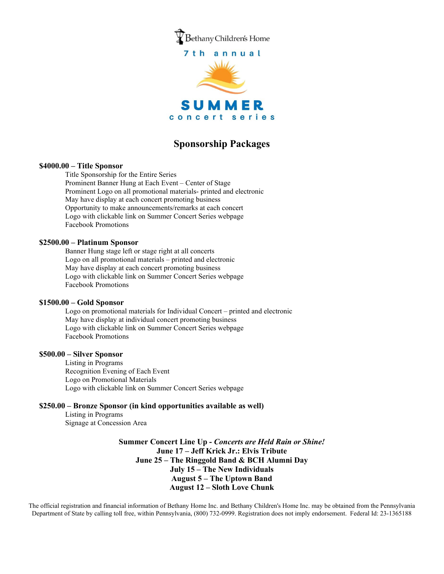

# **Sponsorship Packages**

#### **\$4000.00 – Title Sponsor**

Title Sponsorship for the Entire Series Prominent Banner Hung at Each Event – Center of Stage Prominent Logo on all promotional materials- printed and electronic May have display at each concert promoting business Opportunity to make announcements/remarks at each concert Logo with clickable link on Summer Concert Series webpage Facebook Promotions

#### **\$2500.00 – Platinum Sponsor**

Banner Hung stage left or stage right at all concerts Logo on all promotional materials – printed and electronic May have display at each concert promoting business Logo with clickable link on Summer Concert Series webpage Facebook Promotions

### **\$1500.00 – Gold Sponsor**

Logo on promotional materials for Individual Concert – printed and electronic May have display at individual concert promoting business Logo with clickable link on Summer Concert Series webpage Facebook Promotions

### **\$500.00 – Silver Sponsor**

Listing in Programs Recognition Evening of Each Event Logo on Promotional Materials Logo with clickable link on Summer Concert Series webpage

## **\$250.00 – Bronze Sponsor (in kind opportunities available as well)**

Listing in Programs Signage at Concession Area

> **Summer Concert Line Up -** *Concerts are Held Rain or Shine!* **June 17 – Jeff Krick Jr.: Elvis Tribute June 25 – The Ringgold Band & BCH Alumni Day July 15 – The New Individuals August 5 – The Uptown Band August 12 – Sloth Love Chunk**

The official registration and financial information of Bethany Home Inc. and Bethany Children's Home Inc. may be obtained from the Pennsylvania Department of State by calling toll free, within Pennsylvania, (800) 732-0999. Registration does not imply endorsement. Federal Id: 23-1365188